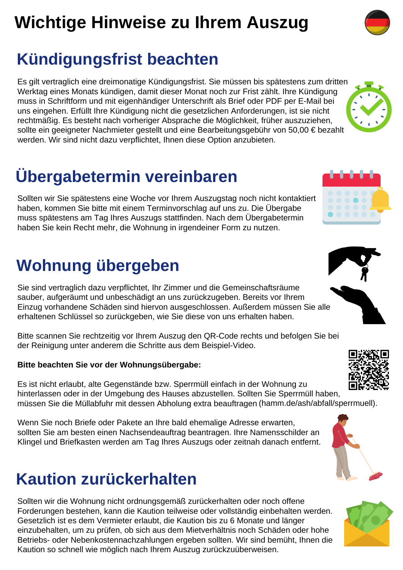# **Wichtige Hinweise zu Ihrem Auszug**

### **Kündigungsfrist beachten**

Es gilt vertraglich eine dreimonatige Kündigungsfrist. Sie müssen bis spätestens zum dritten Werktag eines Monats kündigen, damit dieser Monat noch zur Frist zählt. Ihre Kündigung muss in Schriftform und mit eigenhändiger Unterschrift als Brief oder PDF per E-Mail bei uns eingehen. Erfüllt Ihre Kündigung nicht die gesetzlichen Anforderungen, ist sie nicht rechtmäßig. Es besteht nach vorheriger Absprache die Möglichkeit, früher auszuziehen, sollte ein geeigneter Nachmieter gestellt und eine Bearbeitungsgebühr von 50,00 € bezahlt werden. Wir sind nicht dazu verpflichtet, Ihnen diese Option anzubieten.

# **Übergabetermin vereinbaren**

Sollten wir Sie spätestens eine Woche vor Ihrem Auszugstag noch nicht kontaktiert haben, kommen Sie bitte mit einem Terminvorschlag auf uns zu. Die Übergabe muss spätestens am Tag Ihres Auszugs stattfinden. Nach dem Übergabetermin haben Sie kein Recht mehr, die Wohnung in irgendeiner Form zu nutzen.

### **Wohnung übergeben**

Sie sind vertraglich dazu verpflichtet, Ihr Zimmer und die Gemeinschaftsräume sauber, aufgeräumt und unbeschädigt an uns zurückzugeben. Bereits vor Ihrem Einzug vorhandene Schäden sind hiervon ausgeschlossen. Außerdem müssen Sie alle erhaltenen Schlüssel so zurückgeben, wie Sie diese von uns erhalten haben.

Bitte scannen Sie rechtzeitig vor Ihrem Auszug den QR-Code rechts und befolgen Sie bei der Reinigung unter anderem die Schritte aus dem Beispiel-Video.

#### **Bitte beachten Sie vor der Wohnungsübergabe:**

Es ist nicht erlaubt, alte Gegenstände bzw. Sperrmüll einfach in der Wohnung zu hinterlassen oder in der Umgebung des Hauses abzustellen. Sollten Sie Sperrmüll haben, müssen Sie die Müllabfuhr mit dessen Abholung extra beauftragen (hamm.de/ash/abfall/sperrmuell).

Wenn Sie noch Briefe oder Pakete an Ihre bald ehemalige Adresse erwarten, sollten Sie am besten einen Nachsendeauftrag beantragen. Ihre Namensschilder an Klingel und Briefkasten werden am Tag Ihres Auszugs oder zeitnah danach entfernt.

#### **Kaution zurückerhalten**

Sollten wir die Wohnung nicht ordnungsgemäß zurückerhalten oder noch offene Forderungen bestehen, kann die Kaution teilweise oder vollständig einbehalten werden. Gesetzlich ist es dem Vermieter erlaubt, die Kaution bis zu 6 Monate und länger einzubehalten, um zu prüfen, ob sich aus dem Mietverhältnis noch Schäden oder hohe Betriebs- oder Nebenkostennachzahlungen ergeben sollten. Wir sind bemüht, Ihnen die Kaution so schnell wie möglich nach Ihrem Auszug zurückzuüberweisen.